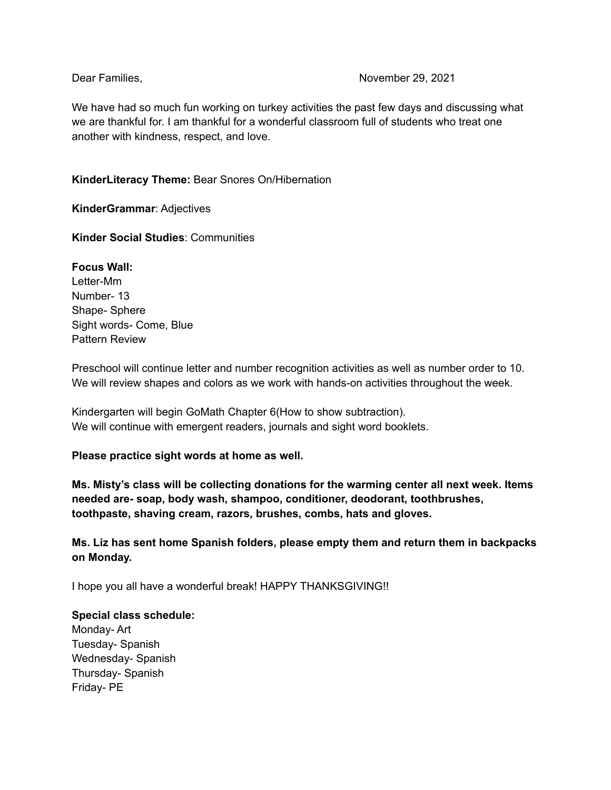## Dear Families, November 29, 2021

We have had so much fun working on turkey activities the past few days and discussing what we are thankful for. I am thankful for a wonderful classroom full of students who treat one another with kindness, respect, and love.

# **KinderLiteracy Theme:** Bear Snores On/Hibernation

**KinderGrammar**: Adjectives

**Kinder Social Studies**: Communities

**Focus Wall:**

Letter-Mm Number- 13 Shape- Sphere Sight words- Come, Blue Pattern Review

Preschool will continue letter and number recognition activities as well as number order to 10. We will review shapes and colors as we work with hands-on activities throughout the week.

Kindergarten will begin GoMath Chapter 6(How to show subtraction). We will continue with emergent readers, journals and sight word booklets.

## **Please practice sight words at home as well.**

**Ms. Misty's class will be collecting donations for the warming center all next week. Items needed are- soap, body wash, shampoo, conditioner, deodorant, toothbrushes, toothpaste, shaving cream, razors, brushes, combs, hats and gloves.**

**Ms. Liz has sent home Spanish folders, please empty them and return them in backpacks on Monday.**

I hope you all have a wonderful break! HAPPY THANKSGIVING!!

#### **Special class schedule:**

Monday- Art Tuesday- Spanish Wednesday- Spanish Thursday- Spanish Friday- PE